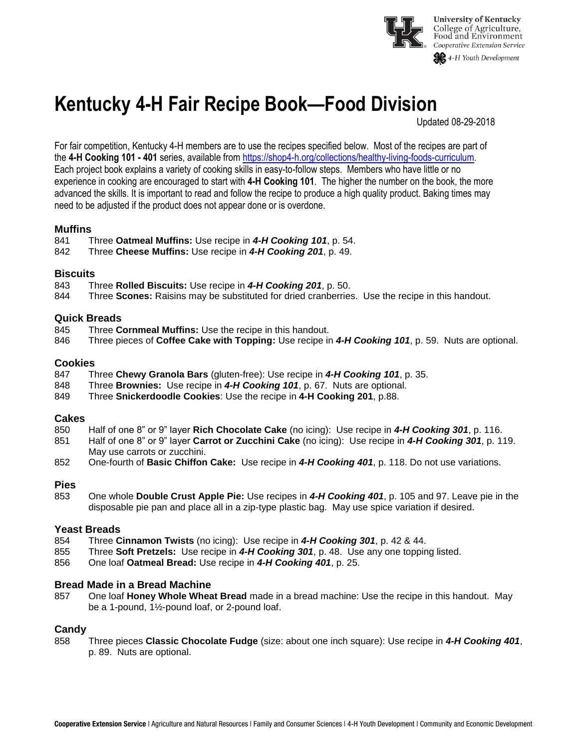

# **Kentucky 4-H Fair Recipe Book—Food Division**

Updated 08-29-2018

For fair competition, Kentucky 4-H members are to use the recipes specified below. Most of the recipes are part of the **4-H Cooking 101 - 401** series, available from [https://shop4-h.org/collections/healthy-living-foods-curriculum.](https://shop4-h.org/collections/healthy-living-foods-curriculum) Each project book explains a variety of cooking skills in easy-to-follow steps. Members who have little or no experience in cooking are encouraged to start with **4-H Cooking 101**. The higher the number on the book, the more advanced the skills. It is important to read and follow the recipe to produce a high quality product. Baking times may need to be adjusted if the product does not appear done or is overdone.

### **Muffins**

841 Three **Oatmeal Muffins:** Use recipe in *4-H Cooking 101*, p. 54.

842 Three **Cheese Muffins:** Use recipe in *4-H Cooking 201*, p. 49.

### **Biscuits**

- 843 Three **Rolled Biscuits:** Use recipe in *4-H Cooking 201*, p. 50.
- 844 Three **Scones:** Raisins may be substituted for dried cranberries. Use the recipe in this handout.

### **Quick Breads**

- 845 Three **Cornmeal Muffins:** Use the recipe in this handout.
- 846 Three pieces of **Coffee Cake with Topping:** Use recipe in *4-H Cooking 101*, p. 59. Nuts are optional.

### **Cookies**

- 847 Three **Chewy Granola Bars** (gluten-free): Use recipe in *4-H Cooking 101*, p. 35.
- 848 Three **Brownies:** Use recipe in *4-H Cooking 101*, p. 67. Nuts are optional.
- 849 Three **Snickerdoodle Cookies**: Use the recipe in **4-H Cooking 201**, p.88.

### **Cakes**

- 850 Half of one 8" or 9" layer **Rich Chocolate Cake** (no icing): Use recipe in *4-H Cooking 301*, p. 116.
- 851 Half of one 8" or 9" layer **Carrot or Zucchini Cake** (no icing): Use recipe in *4-H Cooking 301*, p. 119. May use carrots or zucchini.
- 852 One-fourth of **Basic Chiffon Cake:** Use recipe in *4-H Cooking 401*, p. 118. Do not use variations.

### **Pies**

853 One whole **Double Crust Apple Pie:** Use recipes in *4-H Cooking 401*, p. 105 and 97. Leave pie in the disposable pie pan and place all in a zip-type plastic bag. May use spice variation if desired.

### **Yeast Breads**

- 854 Three **Cinnamon Twists** (no icing): Use recipe in *4-H Cooking 301*, p. 42 & 44.
- 855 Three **Soft Pretzels:** Use recipe in *4-H Cooking 301*, p. 48. Use any one topping listed.
- 856 One loaf **Oatmeal Bread:** Use recipe in *4-H Cooking 401*, p. 25.

### **Bread Made in a Bread Machine**

857 One loaf **Honey Whole Wheat Bread** made in a bread machine: Use the recipe in this handout. May be a 1-pound, 1½-pound loaf, or 2-pound loaf.

### **Candy**

858 Three pieces **Classic Chocolate Fudge** (size: about one inch square): Use recipe in *4-H Cooking 401*, p. 89. Nuts are optional.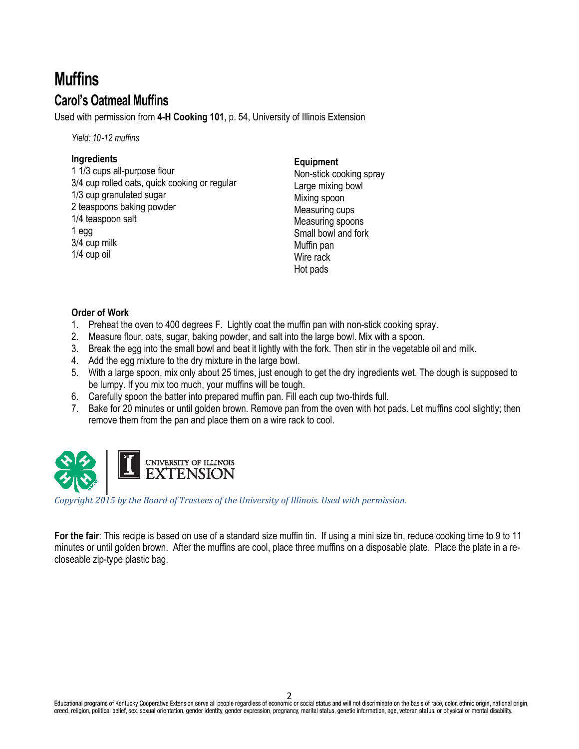# **Muffins Carol's Oatmeal Muffins**

Used with permission from **4-H Cooking 101**, p. 54, University of Illinois Extension

*Yield: 10-12 muffins*

### **Ingredients**

1 1/3 cups all-purpose flour 3/4 cup rolled oats, quick cooking or regular 1/3 cup granulated sugar 2 teaspoons baking powder 1/4 teaspoon salt 1 egg 3/4 cup milk 1/4 cup oil

### **Equipment**

Non-stick cooking spray Large mixing bowl Mixing spoon Measuring cups Measuring spoons Small bowl and fork Muffin pan Wire rack Hot pads

### **Order of Work**

- 1. Preheat the oven to 400 degrees F. Lightly coat the muffin pan with non-stick cooking spray.
- 2. Measure flour, oats, sugar, baking powder, and salt into the large bowl. Mix with a spoon.
- 3. Break the egg into the small bowl and beat it lightly with the fork. Then stir in the vegetable oil and milk.
- 4. Add the egg mixture to the dry mixture in the large bowl.
- 5. With a large spoon, mix only about 25 times, just enough to get the dry ingredients wet. The dough is supposed to be lumpy. If you mix too much, your muffins will be tough.
- 6. Carefully spoon the batter into prepared muffin pan. Fill each cup two-thirds full.
- 7. Bake for 20 minutes or until golden brown. Remove pan from the oven with hot pads. Let muffins cool slightly; then remove them from the pan and place them on a wire rack to cool.



*Copyright 2015 by the Board of Trustees of the University of Illinois. Used with permission.* 

**For the fair**: This recipe is based on use of a standard size muffin tin. If using a mini size tin, reduce cooking time to 9 to 11 minutes or until golden brown. After the muffins are cool, place three muffins on a disposable plate. Place the plate in a recloseable zip-type plastic bag.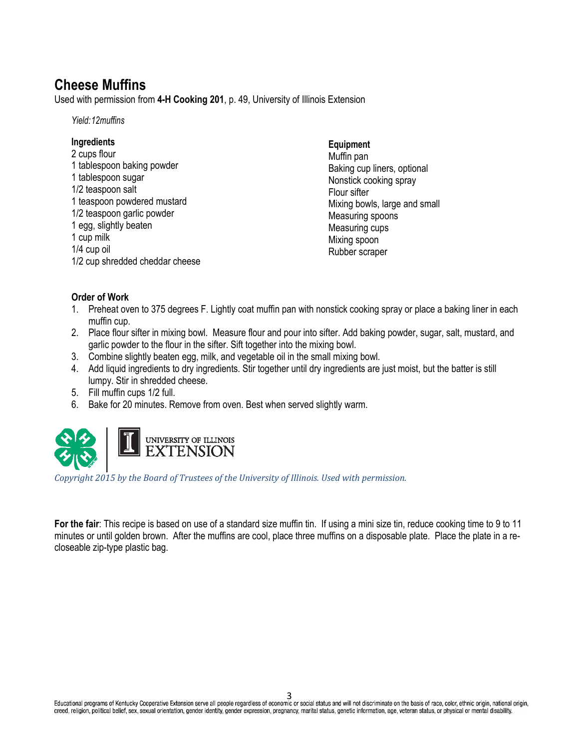## **Cheese Muffins**

Used with permission from **4-H Cooking 201**, p. 49, University of Illinois Extension

*Yield:12muffins*

### **Ingredients**

2 cups flour 1 tablespoon baking powder 1 tablespoon sugar 1/2 teaspoon salt 1 teaspoon powdered mustard 1/2 teaspoon garlic powder 1 egg, slightly beaten 1 cup milk 1/4 cup oil 1/2 cup shredded cheddar cheese

### **Equipment**

Muffin pan Baking cup liners, optional Nonstick cooking spray Flour sifter Mixing bowls, large and small Measuring spoons Measuring cups Mixing spoon Rubber scraper

### **Order of Work**

- 1. Preheat oven to 375 degrees F. Lightly coat muffin pan with nonstick cooking spray or place a baking liner in each muffin cup.
- 2. Place flour sifter in mixing bowl. Measure flour and pour into sifter. Add baking powder, sugar, salt, mustard, and garlic powder to the flour in the sifter. Sift together into the mixing bowl.
- 3. Combine slightly beaten egg, milk, and vegetable oil in the small mixing bowl.
- 4. Add liquid ingredients to dry ingredients. Stir together until dry ingredients are just moist, but the batter is still lumpy. Stir in shredded cheese.
- 5. Fill muffin cups 1/2 full.
- 6. Bake for 20 minutes. Remove from oven. Best when served slightly warm.



*Copyright 2015 by the Board of Trustees of the University of Illinois. Used with permission.* 

**For the fair**: This recipe is based on use of a standard size muffin tin. If using a mini size tin, reduce cooking time to 9 to 11 minutes or until golden brown. After the muffins are cool, place three muffins on a disposable plate. Place the plate in a recloseable zip-type plastic bag.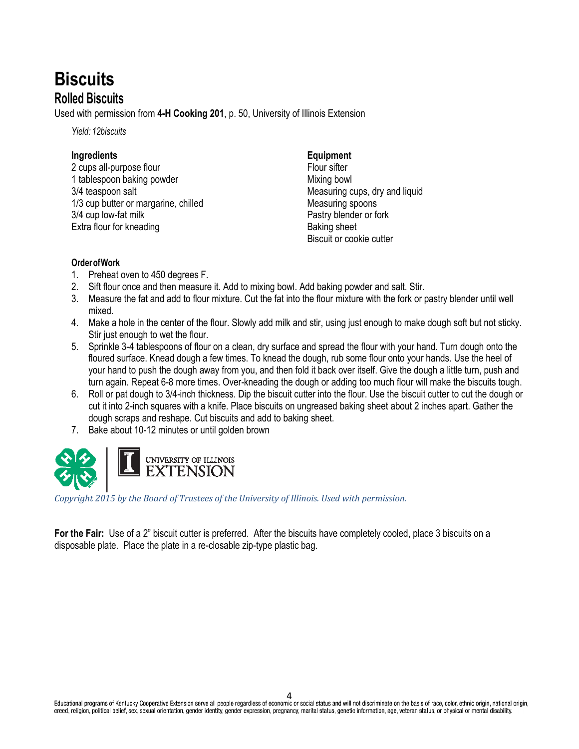# **Biscuits Rolled Biscuits**

Used with permission from **4-H Cooking 201**, p. 50, University of Illinois Extension

*Yield: 12biscuits*

### **Ingredients**

2 cups all-purpose flour 1 tablespoon baking powder 3/4 teaspoon salt 1/3 cup butter or margarine, chilled 3/4 cup low-fat milk Extra flour for kneading

### **Equipment**

Flour sifter Mixing bowl Measuring cups, dry and liquid Measuring spoons Pastry blender or fork Baking sheet Biscuit or cookie cutter

### **OrderofWork**

- 1. Preheat oven to 450 degrees F.
- 2. Sift flour once and then measure it. Add to mixing bowl. Add baking powder and salt. Stir.
- 3. Measure the fat and add to flour mixture. Cut the fat into the flour mixture with the fork or pastry blender until well mixed.
- 4. Make a hole in the center of the flour. Slowly add milk and stir, using just enough to make dough soft but not sticky. Stir just enough to wet the flour.
- 5. Sprinkle 3-4 tablespoons of flour on a clean, dry surface and spread the flour with your hand. Turn dough onto the floured surface. Knead dough a few times. To knead the dough, rub some flour onto your hands. Use the heel of your hand to push the dough away from you, and then fold it back over itself. Give the dough a little turn, push and turn again. Repeat 6-8 more times. Over-kneading the dough or adding too much flour will make the biscuits tough.
- 6. Roll or pat dough to 3/4-inch thickness. Dip the biscuit cutter into the flour. Use the biscuit cutter to cut the dough or cut it into 2-inch squares with a knife. Place biscuits on ungreased baking sheet about 2 inches apart. Gather the dough scraps and reshape. Cut biscuits and add to baking sheet.
- 7. Bake about 10-12 minutes or until golden brown



*Copyright 2015 by the Board of Trustees of the University of Illinois. Used with permission.* 

**For the Fair:** Use of a 2" biscuit cutter is preferred. After the biscuits have completely cooled, place 3 biscuits on a disposable plate. Place the plate in a re-closable zip-type plastic bag.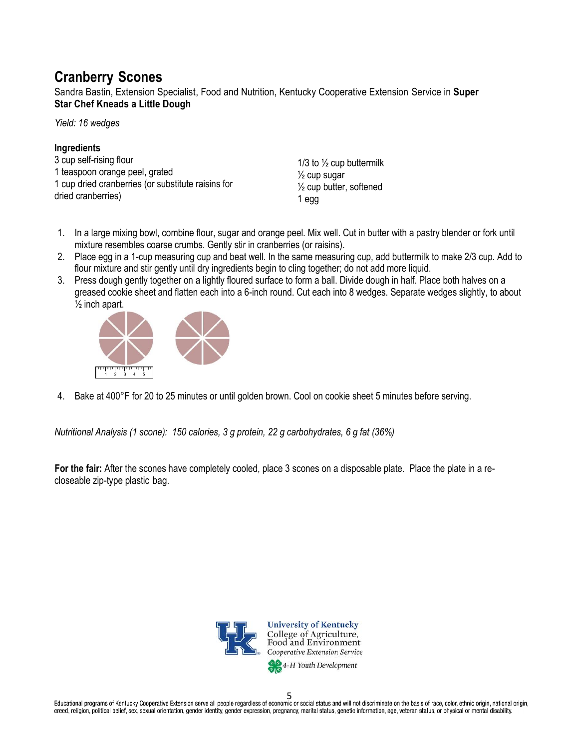## **Cranberry Scones**

Sandra Bastin, Extension Specialist, Food and Nutrition, Kentucky Cooperative Extension Service in **Super Star Chef Kneads a Little Dough**

*Yield: 16 wedges*

### **Ingredients**

3 cup self-rising flour 1 teaspoon orange peel, grated 1 cup dried cranberries (or substitute raisins for dried cranberries)

1/3 to  $\frac{1}{2}$  cup buttermilk  $\frac{1}{2}$  cup sugar ½ cup butter, softened 1 egg

- 1. In a large mixing bowl, combine flour, sugar and orange peel. Mix well. Cut in butter with a pastry blender or fork until mixture resembles coarse crumbs. Gently stir in cranberries (or raisins).
- 2. Place egg in a 1-cup measuring cup and beat well. In the same measuring cup, add buttermilk to make 2/3 cup. Add to flour mixture and stir gently until dry ingredients begin to cling together; do not add more liquid.
- 3. Press dough gently together on a lightly floured surface to form a ball. Divide dough in half. Place both halves on a greased cookie sheet and flatten each into a 6-inch round. Cut each into 8 wedges. Separate wedges slightly, to about  $\frac{1}{2}$  inch apart.



4. Bake at 400°F for 20 to 25 minutes or until golden brown. Cool on cookie sheet 5 minutes before serving.

*Nutritional Analysis (1 scone): 150 calories, 3 g protein, 22 g carbohydrates, 6 g fat (36%)*

**For the fair:** After the scones have completely cooled, place 3 scones on a disposable plate. Place the plate in a recloseable zip-type plastic bag.



Educational programs of Kentucky Cooperative Extension serve all people regardless of economic or social status and will not discriminate on the basis of race, color, ethnic origin, national origin, creed, religion, political belief, sex, sexual orientation, gender identity, gender expression, pregnancy, marital status, genetic information, age, veteran status, or physical or mental disability.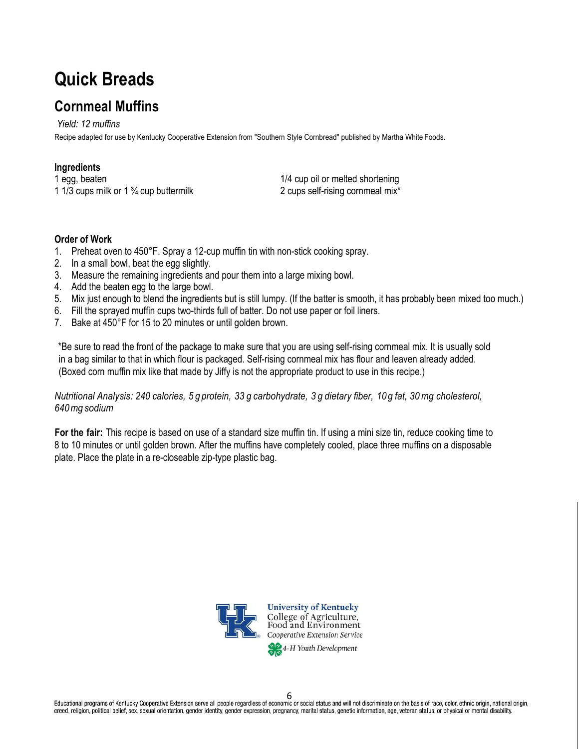# **Quick Breads**

# **Cornmeal Muffins**

*Yield: 12 muffins* Recipe adapted for use by Kentucky Cooperative Extension from "Southern Style Cornbread" published by Martha White Foods.

### **Ingredients**

1 egg, beaten 1 1/3 cups milk or 1  $\frac{3}{4}$  cup buttermilk

1/4 cup oil or melted shortening 2 cups self-rising cornmeal mix\*

### **Order of Work**

- 1. Preheat oven to 450°F. Spray a 12-cup muffin tin with non-stick cooking spray.
- 2. In a small bowl, beat the egg slightly.
- 3. Measure the remaining ingredients and pour them into a large mixing bowl.
- 4. Add the beaten egg to the large bowl.
- 5. Mix just enough to blend the ingredients but is still lumpy. (If the batter is smooth, it has probably been mixed too much.)
- 6. Fill the sprayed muffin cups two-thirds full of batter. Do not use paper or foil liners.
- 7. Bake at 450°F for 15 to 20 minutes or until golden brown.

\*Be sure to read the front of the package to make sure that you are using self-rising cornmeal mix. It is usually sold in a bag similar to that in which flour is packaged. Self-rising cornmeal mix has flour and leaven already added. (Boxed corn muffin mix like that made by Jiffy is not the appropriate product to use in this recipe.)

### Nutritional Analysis: 240 calories, 5 q protein, 33 q carbohydrate, 3 q dietary fiber, 10 q fat, 30 mq cholesterol, *640mg sodium*

**For the fair:** This recipe is based on use of a standard size muffin tin. If using a mini size tin, reduce cooking time to 8 to 10 minutes or until golden brown. After the muffins have completely cooled, place three muffins on a disposable plate. Place the plate in a re-closeable zip-type plastic bag.



**University of Kentucky** College of Agriculture,<br>Food and Environment **Cooperative Extension Service** 

4-H Youth Development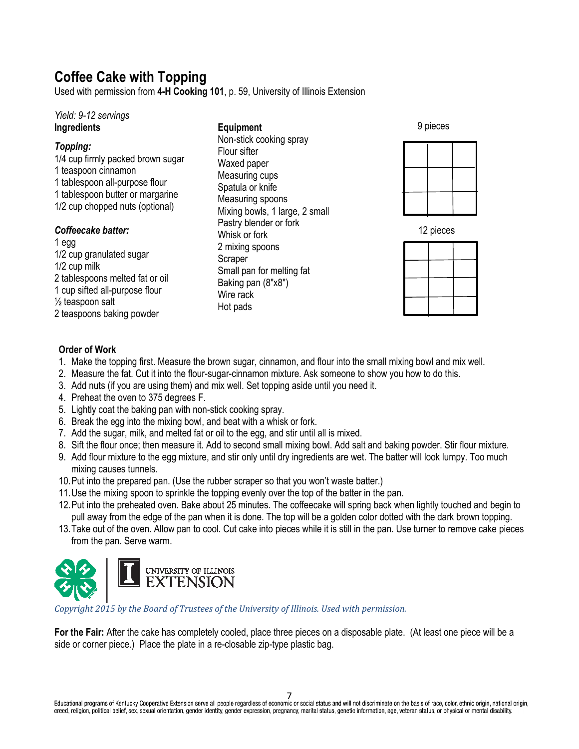# **Coffee Cake with Topping**

Used with permission from **4-H Cooking 101**, p. 59, University of Illinois Extension

### *Yield: 9-12 servings* **Ingredients**

### *Topping:*

1/4 cup firmly packed brown sugar 1 teaspoon cinnamon 1 tablespoon all-purpose flour 1 tablespoon butter or margarine 1/2 cup chopped nuts (optional)

### *Coffeecake batter:*

1 egg 1/2 cup granulated sugar 1/2 cup milk 2 tablespoons melted fat or oil 1 cup sifted all-purpose flour  $\frac{1}{2}$  teaspoon salt 2 teaspoons baking powder

**Equipment** Non-stick cooking spray Flour sifter Waxed paper Measuring cups Spatula or knife Measuring spoons Mixing bowls, 1 large, 2 small Pastry blender or fork Whisk or fork 2 mixing spoons Scraper Small pan for melting fat Baking pan (8"x8") Wire rack Hot pads

9 pieces





### **Order of Work**

1. Make the topping first. Measure the brown sugar, cinnamon, and flour into the small mixing bowl and mix well.

2. Measure the fat. Cut it into the flour-sugar-cinnamon mixture. Ask someone to show you how to do this.

- 3. Add nuts (if you are using them) and mix well. Set topping aside until you need it.
- 4. Preheat the oven to 375 degrees F.
- 5. Lightly coat the baking pan with non-stick cooking spray.
- 6. Break the egg into the mixing bowl, and beat with a whisk or fork.
- 7. Add the sugar, milk, and melted fat or oil to the egg, and stir until all is mixed.
- 8. Sift the flour once; then measure it. Add to second small mixing bowl. Add salt and baking powder. Stir flour mixture.
- 9. Add flour mixture to the egg mixture, and stir only until dry ingredients are wet. The batter will look lumpy. Too much mixing causes tunnels.
- 10.Put into the prepared pan. (Use the rubber scraper so that you won't waste batter.)
- 11.Use the mixing spoon to sprinkle the topping evenly over the top of the batter in the pan.
- 12.Put into the preheated oven. Bake about 25 minutes. The coffeecake will spring back when lightly touched and begin to pull away from the edge of the pan when it is done. The top will be a golden color dotted with the dark brown topping.
- 13.Take out of the oven. Allow pan to cool. Cut cake into pieces while it is still in the pan. Use turner to remove cake pieces from the pan. Serve warm.



*Copyright 2015 by the Board of Trustees of the University of Illinois. Used with permission.* 

**For the Fair:** After the cake has completely cooled, place three pieces on a disposable plate. (At least one piece will be a side or corner piece.) Place the plate in a re-closable zip-type plastic bag.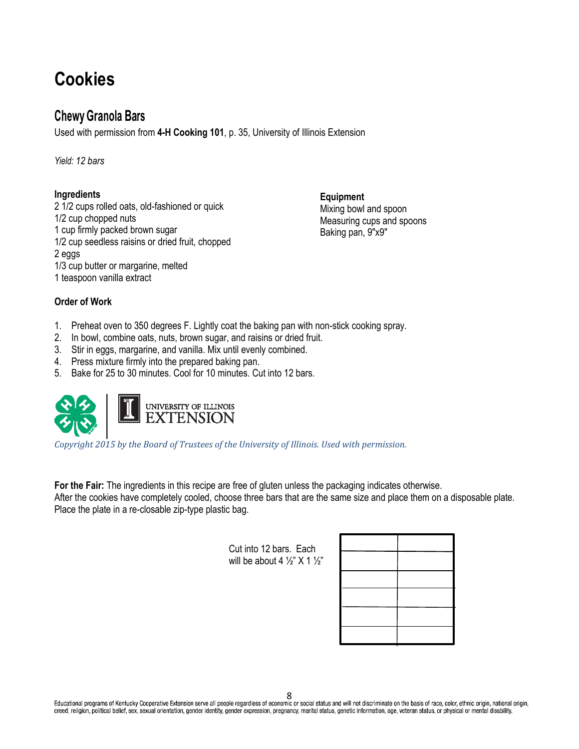# **Cookies**

### **Chewy Granola Bars**

Used with permission from **4-H Cooking 101**, p. 35, University of Illinois Extension

*Yield: 12 bars*

### **Ingredients**

2 1/2 cups rolled oats, old-fashioned or quick 1/2 cup chopped nuts 1 cup firmly packed brown sugar 1/2 cup seedless raisins or dried fruit, chopped 2 eggs 1/3 cup butter or margarine, melted 1 teaspoon vanilla extract

**Equipment** Mixing bowl and spoon Measuring cups and spoons Baking pan, 9"x9"

### **Order of Work**

- 1. Preheat oven to 350 degrees F. Lightly coat the baking pan with non-stick cooking spray.
- 2. In bowl, combine oats, nuts, brown sugar, and raisins or dried fruit.
- 3. Stir in eggs, margarine, and vanilla. Mix until evenly combined.
- 4. Press mixture firmly into the prepared baking pan.
- 5. Bake for 25 to 30 minutes. Cool for 10 minutes. Cut into 12 bars.



*Copyright 2015 by the Board of Trustees of the University of Illinois. Used with permission.* 

**For the Fair:** The ingredients in this recipe are free of gluten unless the packaging indicates otherwise. After the cookies have completely cooled, choose three bars that are the same size and place them on a disposable plate. Place the plate in a re-closable zip-type plastic bag.

> Cut into 12 bars. Each will be about 4  $\frac{1}{2}$ " X 1  $\frac{1}{2}$ "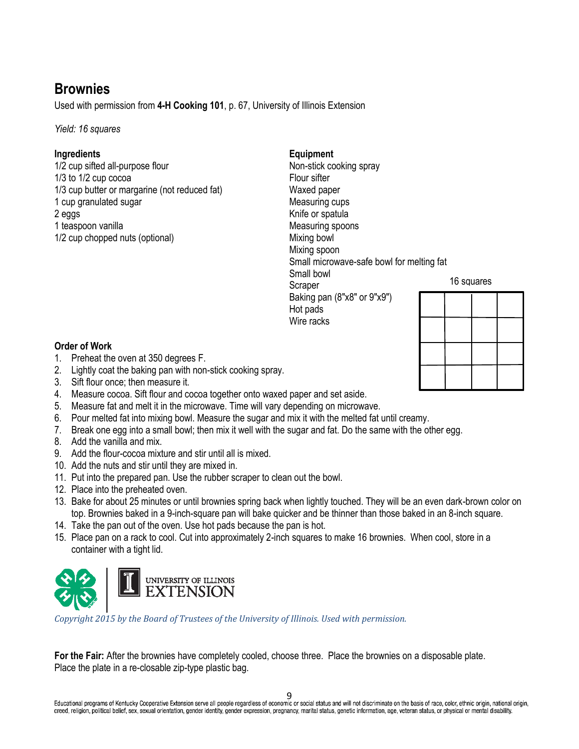## **Brownies**

Used with permission from **4-H Cooking 101**, p. 67, University of Illinois Extension

*Yield: 16 squares*

### **Ingredients**

1/2 cup sifted all-purpose flour 1/3 to 1/2 cup cocoa 1/3 cup butter or margarine (not reduced fat) 1 cup granulated sugar 2 eggs 1 teaspoon vanilla 1/2 cup chopped nuts (optional)

### **Equipment**

Non-stick cooking spray Flour sifter Waxed paper Measuring cups Knife or spatula Measuring spoons Mixing bowl Mixing spoon Small microwave-safe bowl for melting fat Small bowl Scraper Baking pan (8"x8" or 9"x9") Hot pads Wire racks



### **Order of Work**

- 1. Preheat the oven at 350 degrees F.
- 2. Lightly coat the baking pan with non-stick cooking spray.
- 3. Sift flour once; then measure it.
- 4. Measure cocoa. Sift flour and cocoa together onto waxed paper and set aside.
- 5. Measure fat and melt it in the microwave. Time will vary depending on microwave.
- 6. Pour melted fat into mixing bowl. Measure the sugar and mix it with the melted fat until creamy.
- 7. Break one egg into a small bowl; then mix it well with the sugar and fat. Do the same with the other egg.
- 8. Add the vanilla and mix.
- 9. Add the flour-cocoa mixture and stir until all is mixed.
- 10. Add the nuts and stir until they are mixed in.
- 11. Put into the prepared pan. Use the rubber scraper to clean out the bowl.
- 12. Place into the preheated oven.
- 13. Bake for about 25 minutes or until brownies spring back when lightly touched. They will be an even dark-brown color on top. Brownies baked in a 9-inch-square pan will bake quicker and be thinner than those baked in an 8-inch square.
- 14. Take the pan out of the oven. Use hot pads because the pan is hot.
- 15. Place pan on a rack to cool. Cut into approximately 2-inch squares to make 16 brownies. When cool, store in a container with a tight lid.



*Copyright 2015 by the Board of Trustees of the University of Illinois. Used with permission.* 

**For the Fair:** After the brownies have completely cooled, choose three. Place the brownies on a disposable plate. Place the plate in a re-closable zip-type plastic bag.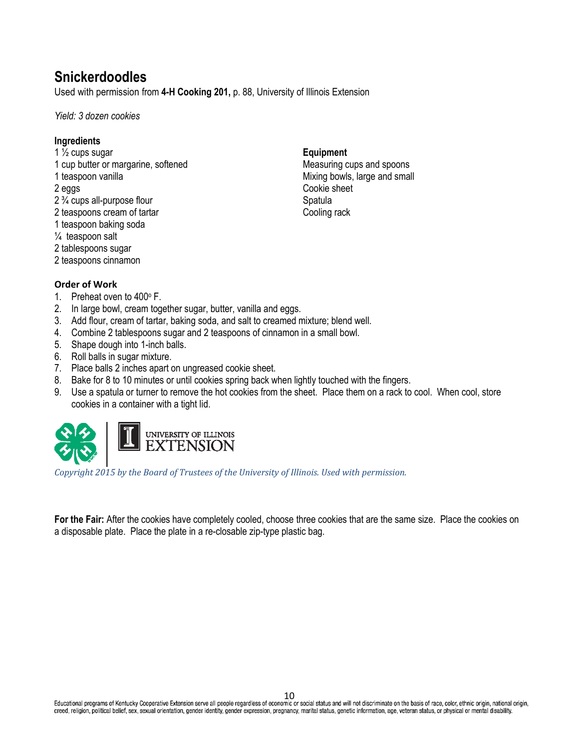## **Snickerdoodles**

Used with permission from **4-H Cooking 201,** p. 88, University of Illinois Extension

*Yield: 3 dozen cookies*

### **Ingredients**

1  $\frac{1}{2}$  cups sugar 1 cup butter or margarine, softened 1 teaspoon vanilla 2 eggs 2 ¾ cups all-purpose flour 2 teaspoons cream of tartar 1 teaspoon baking soda ¼ teaspoon salt 2 tablespoons sugar

### 2 teaspoons cinnamon

### **Order of Work**

- 1. Preheat oven to 400° F.
- 2. In large bowl, cream together sugar, butter, vanilla and eggs.
- 3. Add flour, cream of tartar, baking soda, and salt to creamed mixture; blend well.
- 4. Combine 2 tablespoons sugar and 2 teaspoons of cinnamon in a small bowl.
- 5. Shape dough into 1-inch balls.
- 6. Roll balls in sugar mixture.
- 7. Place balls 2 inches apart on ungreased cookie sheet.
- 8. Bake for 8 to 10 minutes or until cookies spring back when lightly touched with the fingers.
- 9. Use a spatula or turner to remove the hot cookies from the sheet. Place them on a rack to cool. When cool, store cookies in a container with a tight lid.

**Equipment**

Cookie sheet Spatula Cooling rack

Measuring cups and spoons Mixing bowls, large and small



*Copyright 2015 by the Board of Trustees of the University of Illinois. Used with permission.* 

**For the Fair:** After the cookies have completely cooled, choose three cookies that are the same size. Place the cookies on a disposable plate. Place the plate in a re-closable zip-type plastic bag.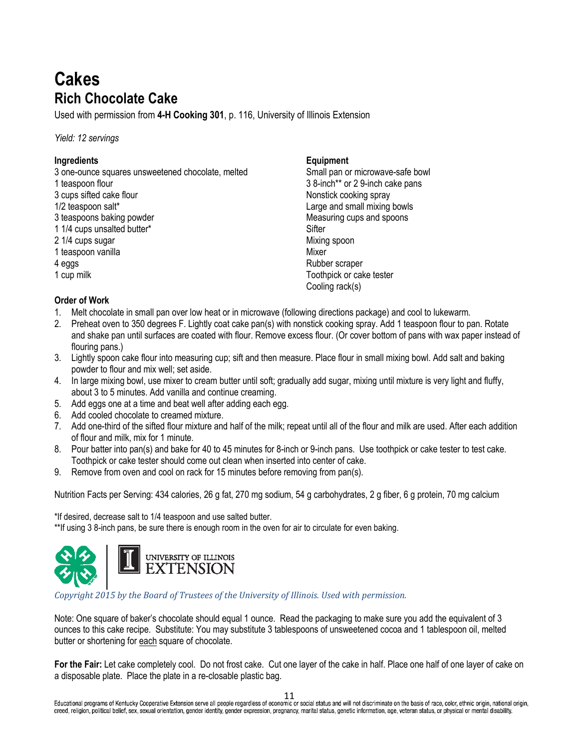# **Cakes Rich Chocolate Cake**

Used with permission from **4-H Cooking 301**, p. 116, University of Illinois Extension

*Yield: 12 servings*

### **Ingredients**

3 one-ounce squares unsweetened chocolate, melted 1 teaspoon flour

- 3 cups sifted cake flour
- 1/2 teaspoon salt\*
- 3 teaspoons baking powder
- 1 1/4 cups unsalted butter\*
- 2 1/4 cups sugar
- 1 teaspoon vanilla
- 4 eggs
- 1 cup milk

### **Equipment**

Small pan or microwave-safe bowl 3 8-inch\*\* or 2 9-inch cake pans Nonstick cooking spray Large and small mixing bowls Measuring cups and spoons **Sifter** Mixing spoon **Mixer** Rubber scraper Toothpick or cake tester Cooling rack(s)

### **Order of Work**

- 1. Melt chocolate in small pan over low heat or in microwave (following directions package) and cool to lukewarm.
- 2. Preheat oven to 350 degrees F. Lightly coat cake pan(s) with nonstick cooking spray. Add 1 teaspoon flour to pan. Rotate and shake pan until surfaces are coated with flour. Remove excess flour. (Or cover bottom of pans with wax paper instead of flouring pans.)
- 3. Lightly spoon cake flour into measuring cup; sift and then measure. Place flour in small mixing bowl. Add salt and baking powder to flour and mix well; set aside.
- 4. In large mixing bowl, use mixer to cream butter until soft; gradually add sugar, mixing until mixture is very light and fluffy, about 3 to 5 minutes. Add vanilla and continue creaming.
- 5. Add eggs one at a time and beat well after adding each egg.
- 6. Add cooled chocolate to creamed mixture.
- 7. Add one-third of the sifted flour mixture and half of the milk; repeat until all of the flour and milk are used. After each addition of flour and milk, mix for 1 minute.
- 8. Pour batter into pan(s) and bake for 40 to 45 minutes for 8-inch or 9-inch pans. Use toothpick or cake tester to test cake. Toothpick or cake tester should come out clean when inserted into center of cake.
- 9. Remove from oven and cool on rack for 15 minutes before removing from pan(s).

Nutrition Facts per Serving: 434 calories, 26 g fat, 270 mg sodium, 54 g carbohydrates, 2 g fiber, 6 g protein, 70 mg calcium

\*If desired, decrease salt to 1/4 teaspoon and use salted butter. \*\*If using 3 8-inch pans, be sure there is enough room in the oven for air to circulate for even baking.



*Copyright 2015 by the Board of Trustees of the University of Illinois. Used with permission.* 

Note: One square of baker's chocolate should equal 1 ounce. Read the packaging to make sure you add the equivalent of 3 ounces to this cake recipe. Substitute: You may substitute 3 tablespoons of unsweetened cocoa and 1 tablespoon oil, melted butter or shortening for each square of chocolate.

**For the Fair:** Let cake completely cool. Do not frost cake. Cut one layer of the cake in half. Place one half of one layer of cake on a disposable plate. Place the plate in a re-closable plastic bag.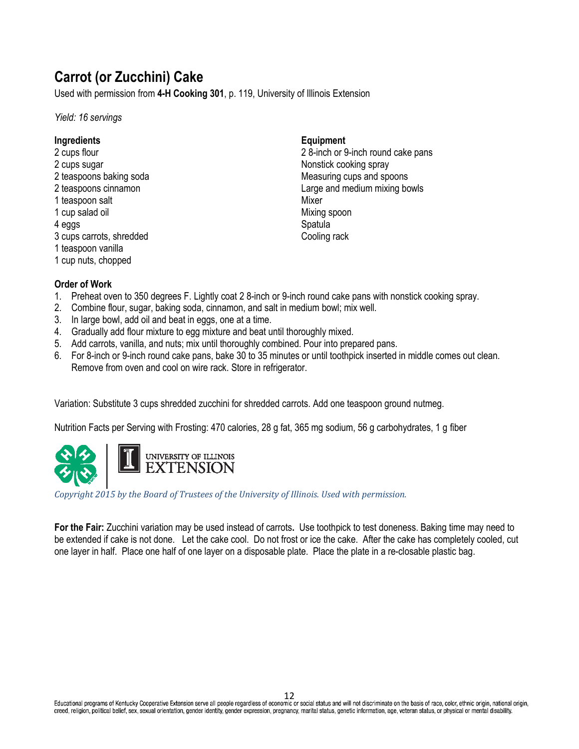# **Carrot (or Zucchini) Cake**

Used with permission from **4-H Cooking 301**, p. 119, University of Illinois Extension

*Yield: 16 servings*

### **Ingredients**

2 cups flour 2 cups sugar 2 teaspoons baking soda 2 teaspoons cinnamon 1 teaspoon salt 1 cup salad oil 4 eggs 3 cups carrots, shredded 1 teaspoon vanilla 1 cup nuts, chopped

### **Equipment**

2 8-inch or 9-inch round cake pans Nonstick cooking spray Measuring cups and spoons Large and medium mixing bowls Mixer Mixing spoon **Spatula** Cooling rack

### **Order of Work**

- 1. Preheat oven to 350 degrees F. Lightly coat 2 8-inch or 9-inch round cake pans with nonstick cooking spray.
- 2. Combine flour, sugar, baking soda, cinnamon, and salt in medium bowl; mix well.
- 3. In large bowl, add oil and beat in eggs, one at a time.
- 4. Gradually add flour mixture to egg mixture and beat until thoroughly mixed.
- 5. Add carrots, vanilla, and nuts; mix until thoroughly combined. Pour into prepared pans.
- 6. For 8-inch or 9-inch round cake pans, bake 30 to 35 minutes or until toothpick inserted in middle comes out clean. Remove from oven and cool on wire rack. Store in refrigerator.

Variation: Substitute 3 cups shredded zucchini for shredded carrots. Add one teaspoon ground nutmeg.

Nutrition Facts per Serving with Frosting: 470 calories, 28 g fat, 365 mg sodium, 56 g carbohydrates, 1 g fiber



*Copyright 2015 by the Board of Trustees of the University of Illinois. Used with permission.* 

**For the Fair:** Zucchini variation may be used instead of carrots**.** Use toothpick to test doneness. Baking time may need to be extended if cake is not done.Let the cake cool. Do not frost or ice the cake. After the cake has completely cooled, cut one layer in half. Place one half of one layer on a disposable plate. Place the plate in a re-closable plastic bag.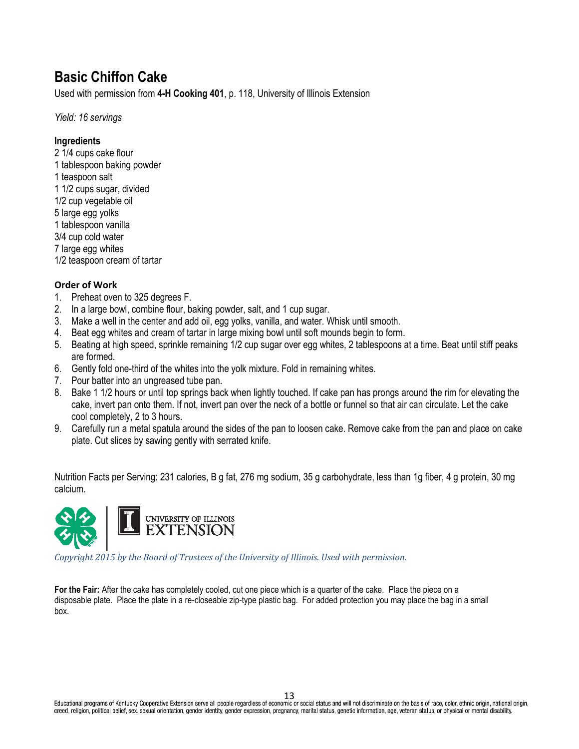# **Basic Chiffon Cake**

Used with permission from **4-H Cooking 401**, p. 118, University of Illinois Extension

*Yield: 16 servings*

### **Ingredients**

2 1/4 cups cake flour 1 tablespoon baking powder 1 teaspoon salt 1 1/2 cups sugar, divided 1/2 cup vegetable oil 5 large egg yolks 1 tablespoon vanilla 3/4 cup cold water 7 large egg whites 1/2 teaspoon cream of tartar

### **Order of Work**

- 1. Preheat oven to 325 degrees F.
- 2. In a large bowl, combine flour, baking powder, salt, and 1 cup sugar.
- 3. Make a well in the center and add oil, egg yolks, vanilla, and water. Whisk until smooth.
- 4. Beat egg whites and cream of tartar in large mixing bowl until soft mounds begin to form.
- 5. Beating at high speed, sprinkle remaining 1/2 cup sugar over egg whites, 2 tablespoons at a time. Beat until stiff peaks are formed.
- 6. Gently fold one-third of the whites into the yolk mixture. Fold in remaining whites.
- 7. Pour batter into an ungreased tube pan.
- 8. Bake 1 1/2 hours or until top springs back when lightly touched. If cake pan has prongs around the rim for elevating the cake, invert pan onto them. If not, invert pan over the neck of a bottle or funnel so that air can circulate. Let the cake cool completely, 2 to 3 hours.
- 9. Carefully run a metal spatula around the sides of the pan to loosen cake. Remove cake from the pan and place on cake plate. Cut slices by sawing gently with serrated knife.

Nutrition Facts per Serving: 231 calories, B g fat, 276 mg sodium, 35 g carbohydrate, less than 1g fiber, 4 g protein, 30 mg calcium.



*Copyright 2015 by the Board of Trustees of the University of Illinois. Used with permission.* 

**For the Fair:** After the cake has completely cooled, cut one piece which is a quarter of the cake. Place the piece on a disposable plate. Place the plate in a re-closeable zip-type plastic bag. For added protection you may place the bag in a small box.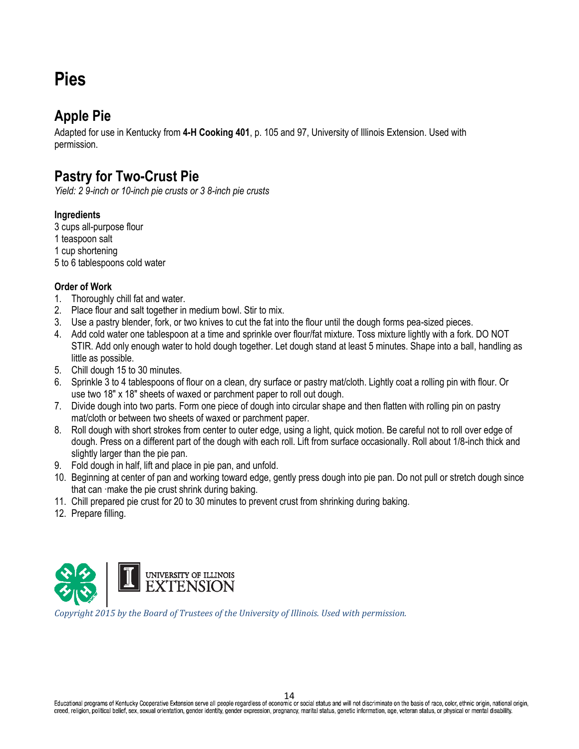# **Pies**

## **Apple Pie**

Adapted for use in Kentucky from **4-H Cooking 401**, p. 105 and 97, University of Illinois Extension. Used with permission.

## **Pastry for Two-Crust Pie**

*Yield: 2 9-inch or 10-inch pie crusts or 3 8-inch pie crusts*

### **Ingredients**

3 cups all-purpose flour 1 teaspoon salt 1 cup shortening 5 to 6 tablespoons cold water

### **Order of Work**

- 1. Thoroughly chill fat and water.
- 2. Place flour and salt together in medium bowl. Stir to mix.
- 3. Use a pastry blender, fork, or two knives to cut the fat into the flour until the dough forms pea-sized pieces.
- 4. Add cold water one tablespoon at a time and sprinkle over flour/fat mixture. Toss mixture lightly with a fork. DO NOT STIR. Add only enough water to hold dough together. Let dough stand at least 5 minutes. Shape into a ball, handling as little as possible.
- 5. Chill dough 15 to 30 minutes.
- 6. Sprinkle 3 to 4 tablespoons of flour on a clean, dry surface or pastry mat/cloth. Lightly coat a rolling pin with flour. Or use two 18" x 18" sheets of waxed or parchment paper to roll out dough.
- 7. Divide dough into two parts. Form one piece of dough into circular shape and then flatten with rolling pin on pastry mat/cloth or between two sheets of waxed or parchment paper.
- 8. Roll dough with short strokes from center to outer edge, using a light, quick motion. Be careful not to roll over edge of dough. Press on a different part of the dough with each roll. Lift from surface occasionally. Roll about 1/8-inch thick and slightly larger than the pie pan.
- 9. Fold dough in half, lift and place in pie pan, and unfold.
- 10. Beginning at center of pan and working toward edge, gently press dough into pie pan. Do not pull or stretch dough since that can ·make the pie crust shrink during baking.
- 11. Chill prepared pie crust for 20 to 30 minutes to prevent crust from shrinking during baking.
- 12. Prepare filling.



*Copyright 2015 by the Board of Trustees of the University of Illinois. Used with permission.*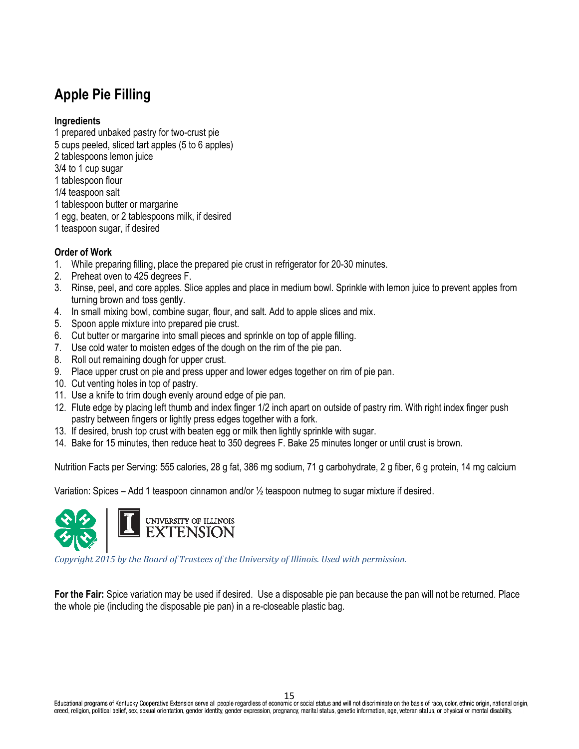# **Apple Pie Filling**

### **Ingredients**

- 1 prepared unbaked pastry for two-crust pie 5 cups peeled, sliced tart apples (5 to 6 apples) 2 tablespoons lemon juice 3/4 to 1 cup sugar 1 tablespoon flour 1/4 teaspoon salt 1 tablespoon butter or margarine 1 egg, beaten, or 2 tablespoons milk, if desired
- 1 teaspoon sugar, if desired

### **Order of Work**

- 1. While preparing filling, place the prepared pie crust in refrigerator for 20-30 minutes.
- 2. Preheat oven to 425 degrees F.
- 3. Rinse, peel, and core apples. Slice apples and place in medium bowl. Sprinkle with lemon juice to prevent apples from turning brown and toss gently.
- 4. In small mixing bowl, combine sugar, flour, and salt. Add to apple slices and mix.
- 5. Spoon apple mixture into prepared pie crust.
- 6. Cut butter or margarine into small pieces and sprinkle on top of apple filling.
- 7. Use cold water to moisten edges of the dough on the rim of the pie pan.
- 8. Roll out remaining dough for upper crust.
- 9. Place upper crust on pie and press upper and lower edges together on rim of pie pan.
- 10. Cut venting holes in top of pastry.
- 11. Use a knife to trim dough evenly around edge of pie pan.
- 12. Flute edge by placing left thumb and index finger 1/2 inch apart on outside of pastry rim. With right index finger push pastry between fingers or lightly press edges together with a fork.
- 13. If desired, brush top crust with beaten egg or milk then lightly sprinkle with sugar.
- 14. Bake for 15 minutes, then reduce heat to 350 degrees F. Bake 25 minutes longer or until crust is brown.

Nutrition Facts per Serving: 555 calories, 28 g fat, 386 mg sodium, 71 g carbohydrate, 2 g fiber, 6 g protein, 14 mg calcium

Variation: Spices – Add 1 teaspoon cinnamon and/or ½ teaspoon nutmeg to sugar mixture if desired.



*Copyright 2015 by the Board of Trustees of the University of Illinois. Used with permission.* 

**For the Fair:** Spice variation may be used if desired. Use a disposable pie pan because the pan will not be returned. Place the whole pie (including the disposable pie pan) in a re-closeable plastic bag.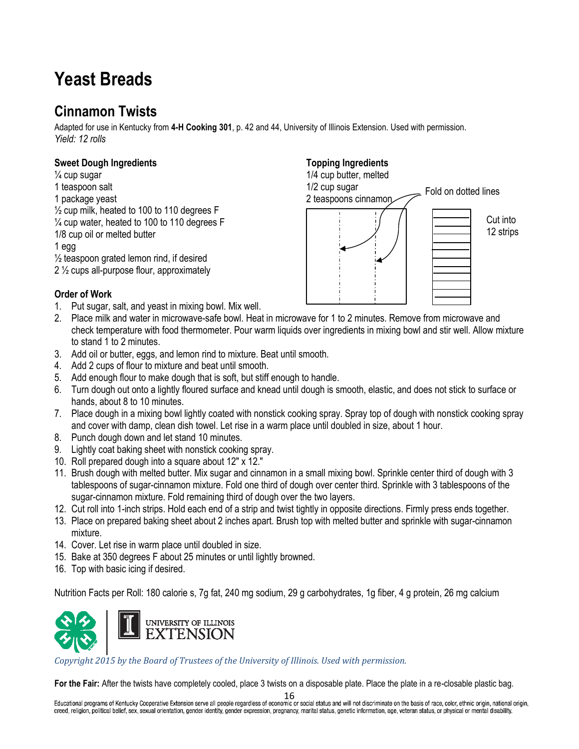# **Yeast Breads**

# **Cinnamon Twists**

Adapted for use in Kentucky from **4-H Cooking 301**, p. 42 and 44, University of Illinois Extension. Used with permission. *Yield: 12 rolls*

### **Sweet Dough Ingredients**

 $\frac{1}{4}$  cup sugar 1 teaspoon salt 1 package yeast  $\frac{1}{2}$  cup milk, heated to 100 to 110 degrees F  $\frac{1}{4}$  cup water, heated to 100 to 110 degrees F 1/8 cup oil or melted butter 1 egg  $\frac{1}{2}$  teaspoon grated lemon rind, if desired

2 ½ cups all-purpose flour, approximately

1/4 cup butter, melted 1/2 cup sugar

**Topping Ingredients**



### **Order of Work**

- 1. Put sugar, salt, and yeast in mixing bowl. Mix well.
- 2. Place milk and water in microwave-safe bowl. Heat in microwave for 1 to 2 minutes. Remove from microwave and check temperature with food thermometer. Pour warm liquids over ingredients in mixing bowl and stir well. Allow mixture to stand 1 to 2 minutes.
- 3. Add oil or butter, eggs, and lemon rind to mixture. Beat until smooth.
- 4. Add 2 cups of flour to mixture and beat until smooth.
- 5. Add enough flour to make dough that is soft, but stiff enough to handle.
- 6. Turn dough out onto a lightly floured surface and knead until dough is smooth, elastic, and does not stick to surface or hands, about 8 to 10 minutes.
- 7. Place dough in a mixing bowl lightly coated with nonstick cooking spray. Spray top of dough with nonstick cooking spray and cover with damp, clean dish towel. Let rise in a warm place until doubled in size, about 1 hour.
- 8. Punch dough down and let stand 10 minutes.
- 9. Lightly coat baking sheet with nonstick cooking spray.
- 10. Roll prepared dough into a square about 12" x 12."
- 11. Brush dough with melted butter. Mix sugar and cinnamon in a small mixing bowl. Sprinkle center third of dough with 3 tablespoons of sugar-cinnamon mixture. Fold one third of dough over center third. Sprinkle with 3 tablespoons of the sugar-cinnamon mixture. Fold remaining third of dough over the two layers.
- 12. Cut roll into 1-inch strips. Hold each end of a strip and twist tightly in opposite directions. Firmly press ends together.
- 13. Place on prepared baking sheet about 2 inches apart. Brush top with melted butter and sprinkle with sugar-cinnamon mixture.
- 14. Cover. Let rise in warm place until doubled in size.
- 15. Bake at 350 degrees F about 25 minutes or until lightly browned.
- 16. Top with basic icing if desired.

Nutrition Facts per Roll: 180 calorie s, 7g fat, 240 mg sodium, 29 g carbohydrates, 1g fiber, 4 g protein, 26 mg calcium



*Copyright 2015 by the Board of Trustees of the University of Illinois. Used with permission.* 

**For the Fair:** After the twists have completely cooled, place 3 twists on a disposable plate. Place the plate in a re-closable plastic bag.

 $16$ <br>Educational programs of Kentucky Cooperative Extension serve all people regardless of economic or social status and will not discriminate on the basis of race, color, ethnic origin, national origin, creed, religion, political belief, sex, sexual orientation, gender identity, gender expression, pregnancy, marital status, genetic information, age, veteran status, or physical or mental disability.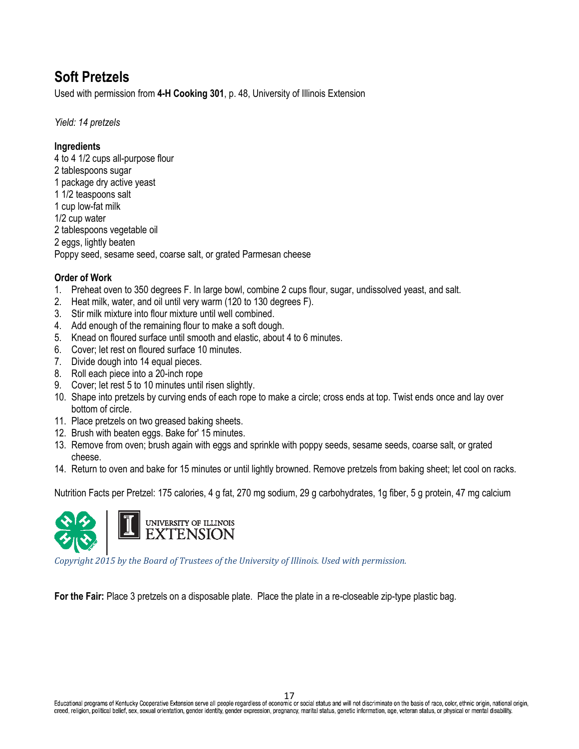# **Soft Pretzels**

Used with permission from **4-H Cooking 301**, p. 48, University of Illinois Extension

*Yield: 14 pretzels*

### **Ingredients**

4 to 4 1/2 cups all-purpose flour 2 tablespoons sugar 1 package dry active yeast 1 1/2 teaspoons salt 1 cup low-fat milk 1/2 cup water 2 tablespoons vegetable oil 2 eggs, lightly beaten Poppy seed, sesame seed, coarse salt, or grated Parmesan cheese

### **Order of Work**

- 1. Preheat oven to 350 degrees F. In large bowl, combine 2 cups flour, sugar, undissolved yeast, and salt.
- 2. Heat milk, water, and oil until very warm (120 to 130 degrees F).
- 3. Stir milk mixture into flour mixture until well combined.
- 4. Add enough of the remaining flour to make a soft dough.
- 5. Knead on floured surface until smooth and elastic, about 4 to 6 minutes.
- 6. Cover; let rest on floured surface 10 minutes.
- 7. Divide dough into 14 equal pieces.
- 8. Roll each piece into a 20-inch rope
- 9. Cover; let rest 5 to 10 minutes until risen slightly.
- 10. Shape into pretzels by curving ends of each rope to make a circle; cross ends at top. Twist ends once and lay over bottom of circle.
- 11. Place pretzels on two greased baking sheets.
- 12. Brush with beaten eggs. Bake for' 15 minutes.
- 13. Remove from oven; brush again with eggs and sprinkle with poppy seeds, sesame seeds, coarse salt, or grated cheese.
- 14. Return to oven and bake for 15 minutes or until lightly browned. Remove pretzels from baking sheet; let cool on racks.

Nutrition Facts per Pretzel: 175 calories, 4 g fat, 270 mg sodium, 29 g carbohydrates, 1g fiber, 5 g protein, 47 mg calcium



*Copyright 2015 by the Board of Trustees of the University of Illinois. Used with permission.* 

**For the Fair:** Place 3 pretzels on a disposable plate. Place the plate in a re-closeable zip-type plastic bag.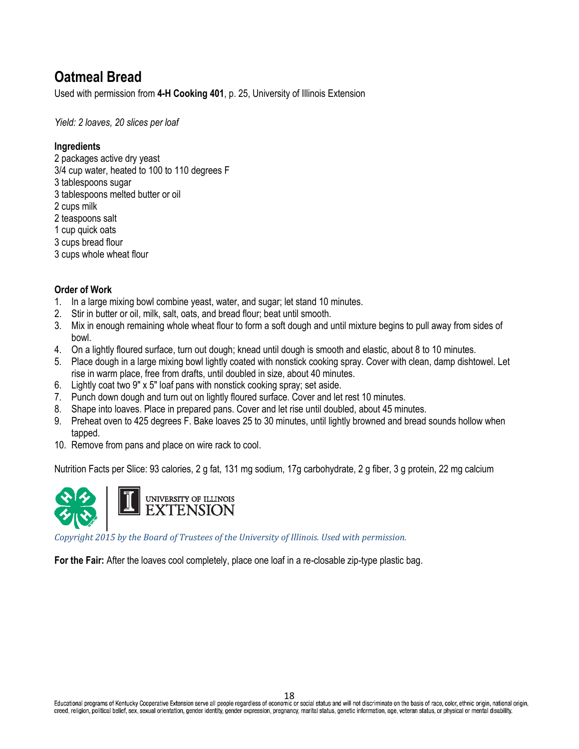# **Oatmeal Bread**

Used with permission from **4-H Cooking 401**, p. 25, University of Illinois Extension

*Yield: 2 loaves, 20 slices per loaf*

### **Ingredients**

2 packages active dry yeast 3/4 cup water, heated to 100 to 110 degrees F 3 tablespoons sugar 3 tablespoons melted butter or oil 2 cups milk 2 teaspoons salt 1 cup quick oats 3 cups bread flour 3 cups whole wheat flour

### **Order of Work**

- 1. In a large mixing bowl combine yeast, water, and sugar; let stand 10 minutes.
- 2. Stir in butter or oil, milk, salt, oats, and bread flour; beat until smooth.
- 3. Mix in enough remaining whole wheat flour to form a soft dough and until mixture begins to pull away from sides of bowl.
- 4. On a lightly floured surface, turn out dough; knead until dough is smooth and elastic, about 8 to 10 minutes.
- 5. Place dough in a large mixing bowl lightly coated with nonstick cooking spray. Cover with clean, damp dishtowel. Let rise in warm place, free from drafts, until doubled in size, about 40 minutes.
- 6. Lightly coat two 9" x 5" loaf pans with nonstick cooking spray; set aside.
- 7. Punch down dough and turn out on lightly floured surface. Cover and let rest 10 minutes.
- 8. Shape into loaves. Place in prepared pans. Cover and let rise until doubled, about 45 minutes.
- 9. Preheat oven to 425 degrees F. Bake loaves 25 to 30 minutes, until lightly browned and bread sounds hollow when tapped.
- 10. Remove from pans and place on wire rack to cool.

Nutrition Facts per Slice: 93 calories, 2 g fat, 131 mg sodium, 17g carbohydrate, 2 g fiber, 3 g protein, 22 mg calcium



*Copyright 2015 by the Board of Trustees of the University of Illinois. Used with permission.* 

**For the Fair:** After the loaves cool completely, place one loaf in a re-closable zip-type plastic bag.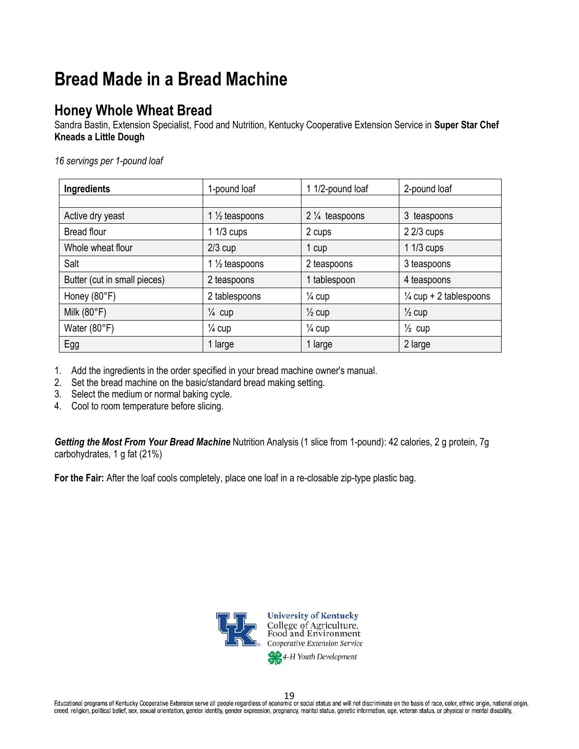# **Bread Made in a Bread Machine**

## **Honey Whole Wheat Bread**

Sandra Bastin, Extension Specialist, Food and Nutrition, Kentucky Cooperative Extension Service in **Super Star Chef Kneads a Little Dough**

*16 servings per 1-pound loaf*

| Ingredients                  | 1-pound loaf              | 1 1/2-pound loaf         | 2-pound loaf                      |
|------------------------------|---------------------------|--------------------------|-----------------------------------|
|                              |                           |                          |                                   |
| Active dry yeast             | 1 $\frac{1}{2}$ teaspoons | $2\frac{1}{4}$ teaspoons | 3 teaspoons                       |
| <b>Bread flour</b>           | $11/3$ cups               | 2 cups                   | $22/3$ cups                       |
| Whole wheat flour            | $2/3$ cup                 | 1 cup                    | $11/3$ cups                       |
| Salt                         | 1 $\frac{1}{2}$ teaspoons | 2 teaspoons              | 3 teaspoons                       |
| Butter (cut in small pieces) | 2 teaspoons               | 1 tablespoon             | 4 teaspoons                       |
| Honey (80°F)                 | 2 tablespoons             | $\frac{1}{4}$ cup        | $\frac{1}{4}$ cup + 2 tablespoons |
| Milk $(80°F)$                | $\frac{1}{4}$ cup         | $\frac{1}{2}$ cup        | $\frac{1}{2}$ cup                 |
| Water (80°F)                 | $\frac{1}{4}$ cup         | $\frac{1}{4}$ cup        | $\frac{1}{2}$ cup                 |
| Egg                          | 1 large                   | 1 large                  | 2 large                           |

1. Add the ingredients in the order specified in your bread machine owner's manual.

- 2. Set the bread machine on the basic/standard bread making setting.
- 3. Select the medium or normal baking cycle.
- 4. Cool to room temperature before slicing.

*Getting the Most From Your Bread Machine* Nutrition Analysis (1 slice from 1-pound): 42 calories, 2 g protein, 7g carbohydrates, 1 g fat (21%)

**For the Fair:** After the loaf cools completely, place one loaf in a re-closable zip-type plastic bag.